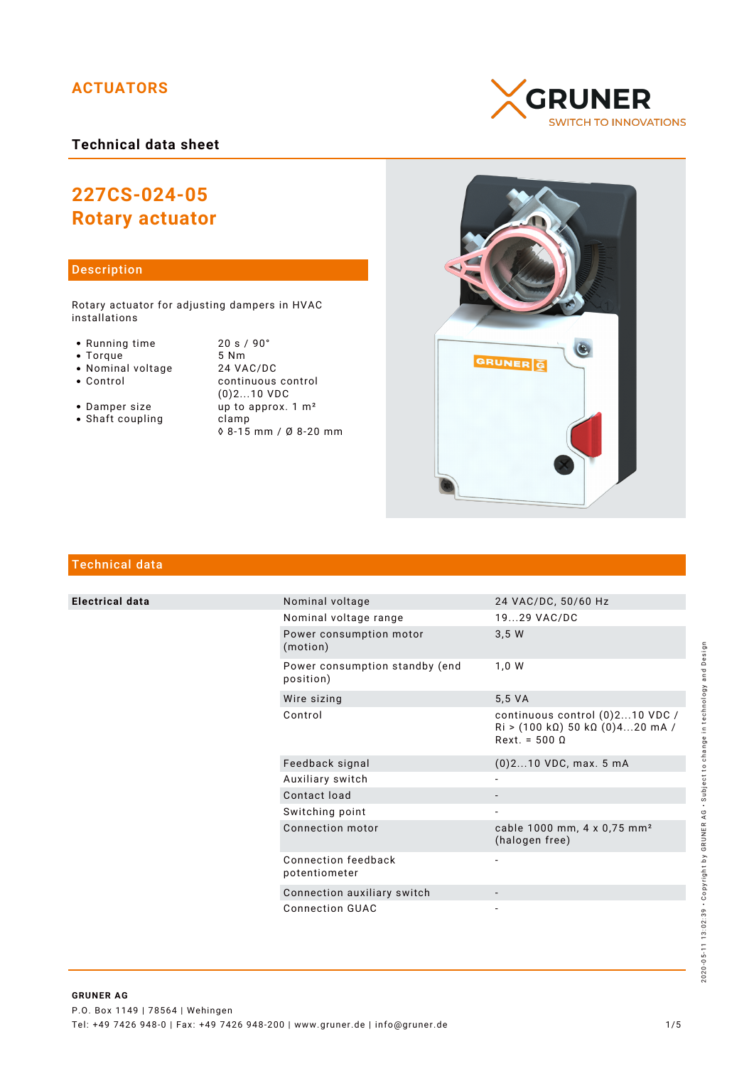# **ACTUATORS**

## **Technical data sheet**

# **227CS-024-05 Rotary actuator**

#### Description

Rotary actuator for adjusting dampers in HVAC installations

- Running time 20 s / 90°<br>• Torque 5 Nm
- 
- Torque 5 Nm<br>• Nominal voltage 24 VAC/DC • Nominal voltage<br>• Control
- 
- continuous control (0)2...10 VDC • Damper size up to approx. 1 m<sup>2</sup> • Shaft coupling clamp
	- ◊ 8-15 mm / Ø 8-20 mm





# Technical data

**Electrical data** 

|  | Nominal voltage                             | 24 VAC/DC, 50/60 Hz                                                                                               |
|--|---------------------------------------------|-------------------------------------------------------------------------------------------------------------------|
|  | Nominal voltage range                       | 1929 VAC/DC                                                                                                       |
|  | Power consumption motor<br>(motion)         | 3,5W                                                                                                              |
|  | Power consumption standby (end<br>position) | 1,0 W                                                                                                             |
|  | Wire sizing                                 | 5,5 VA                                                                                                            |
|  | Control                                     | continuous control (0)210 VDC /<br>$\text{Ri} > (100 \text{ k}\Omega)$ 50 k $\Omega$ (0)420 mA /<br>$Rext = 5000$ |
|  | Feedback signal                             | $(0)$ 210 VDC, max. 5 mA                                                                                          |
|  | Auxiliary switch                            |                                                                                                                   |
|  | Contact load                                |                                                                                                                   |
|  | Switching point                             |                                                                                                                   |
|  | Connection motor                            | cable 1000 mm, 4 x 0,75 mm <sup>2</sup><br>(halogen free)                                                         |
|  | Connection feedback<br>potentiometer        |                                                                                                                   |
|  | Connection auxiliary switch                 |                                                                                                                   |
|  | Connection GUAC                             |                                                                                                                   |

# 2020-05-11 13:02:39 · Copyright by GRUNER AG · Subject to change in technology and Design 2020-05-11 13:02:39 • Copyright by GRUNER AG • Subject to change in technology and Design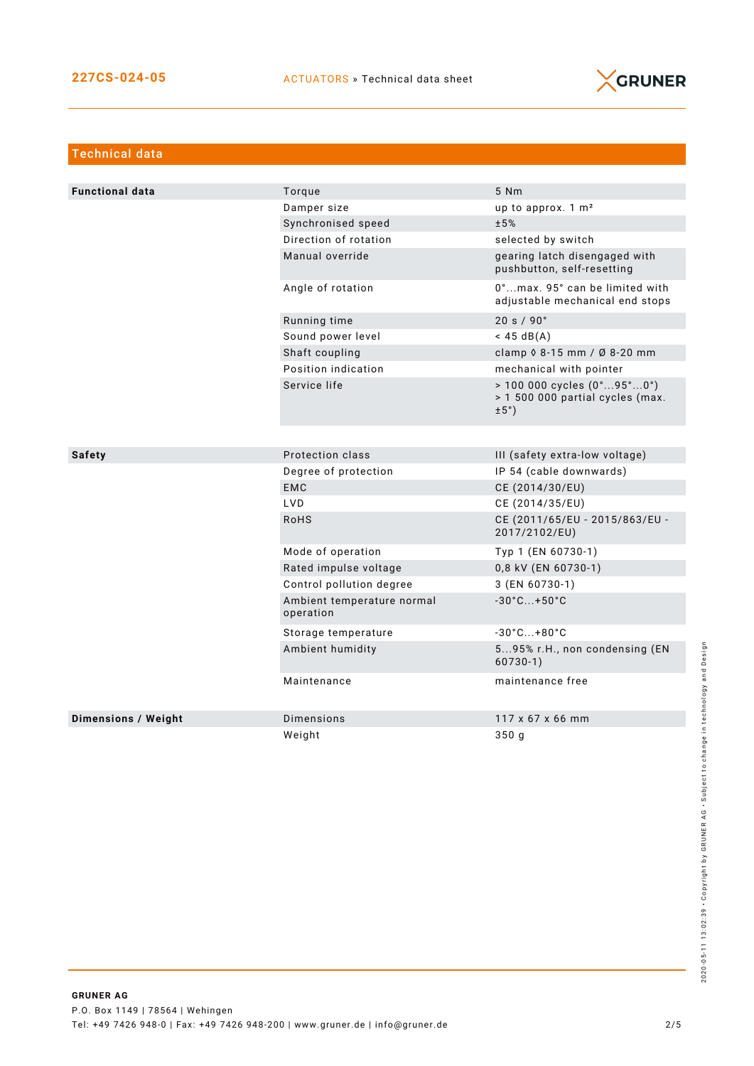

| <b>Technical data</b>      |                                         |                                                                                                             |  |  |
|----------------------------|-----------------------------------------|-------------------------------------------------------------------------------------------------------------|--|--|
|                            |                                         |                                                                                                             |  |  |
| <b>Functional data</b>     | Torque                                  | 5 Nm                                                                                                        |  |  |
|                            | Damper size                             | up to approx. 1 m <sup>2</sup>                                                                              |  |  |
|                            | Synchronised speed                      | ±5%                                                                                                         |  |  |
|                            | Direction of rotation                   | selected by switch                                                                                          |  |  |
|                            | Manual override                         | gearing latch disengaged with<br>pushbutton, self-resetting                                                 |  |  |
|                            | Angle of rotation                       | 0°max. 95° can be limited with<br>adjustable mechanical end stops                                           |  |  |
|                            | Running time                            | 20 s / 90°                                                                                                  |  |  |
|                            | Sound power level                       | $<$ 45 dB(A)                                                                                                |  |  |
|                            | Shaft coupling                          | clamp 0 8-15 mm / Ø 8-20 mm                                                                                 |  |  |
|                            | Position indication                     | mechanical with pointer                                                                                     |  |  |
|                            | Service life                            | $> 100000$ cycles $(0^{\circ}95^{\circ}0^{\circ})$<br>> 1 500 000 partial cycles (max.<br>$\pm 5^{\circ}$ ) |  |  |
|                            |                                         |                                                                                                             |  |  |
| <b>Safety</b>              | Protection class                        | III (safety extra-low voltage)                                                                              |  |  |
|                            | Degree of protection                    | IP 54 (cable downwards)                                                                                     |  |  |
|                            | <b>EMC</b>                              | CE (2014/30/EU)                                                                                             |  |  |
|                            | LVD                                     | CE (2014/35/EU)                                                                                             |  |  |
|                            | <b>RoHS</b>                             | CE (2011/65/EU - 2015/863/EU -<br>2017/2102/EU)                                                             |  |  |
|                            | Mode of operation                       | Typ 1 (EN 60730-1)                                                                                          |  |  |
|                            | Rated impulse voltage                   | 0,8 kV (EN 60730-1)                                                                                         |  |  |
|                            | Control pollution degree                | 3 (EN 60730-1)                                                                                              |  |  |
|                            | Ambient temperature normal<br>operation | $-30^{\circ}$ C +50 $^{\circ}$ C                                                                            |  |  |
|                            | Storage temperature                     | $-30^{\circ}$ C +80 $^{\circ}$ C                                                                            |  |  |
|                            | Ambient humidity                        | 595% r.H., non condensing (EN<br>$60730-1)$                                                                 |  |  |
|                            | Maintenance                             | maintenance free                                                                                            |  |  |
| <b>Dimensions / Weight</b> | Dimensions                              | 117 x 67 x 66 mm                                                                                            |  |  |
|                            | Weight                                  | 350q                                                                                                        |  |  |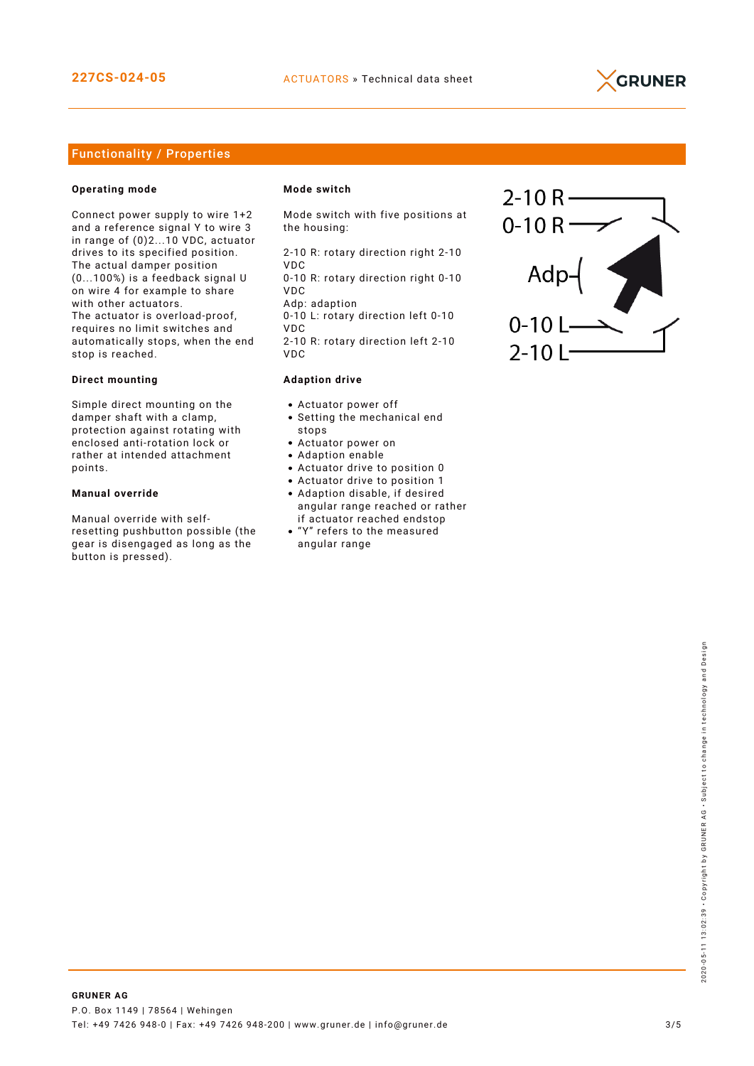

#### Functionality / Properties

#### **Operating mode**

Connect power supply to wire 1+2 and a reference signal Y to wire 3 in range of (0)2...10 VDC, actuator drives to its specified position. The actual damper position (0...100%) is a feedback signal U on wire 4 for example to share with other actuators. The actuator is overload-proof, requires no limit switches and automatically stops, when the end stop is reached.

#### **Direct mounting**

Simple direct mounting on the damper shaft with a clamp, protection against rotating with enclosed anti-rotation lock or rather at intended attachment points.

#### **Manual override**

Manual override with selfresetting pushbutton possible (the gear is disengaged as long as the button is pressed).

#### **Mode switch**

Mode switch with five positions at the housing:

2-10 R: rotary direction right 2-10 VDC 0-10 R: rotary direction right 0-10

VDC Adp: adaption

0-10 L: rotary direction left 0-10 VDC 2-10 R: rotary direction left 2-10

VDC

#### **Adaption drive**

- Actuator power off
- Setting the mechanical end stops
- Actuator power on
- Adaption enable
- Actuator drive to position 0
- Actuator drive to position 1
- Adaption disable, if desired angular range reached or rather if actuator reached endstop
- "Y" refers to the measured angular range

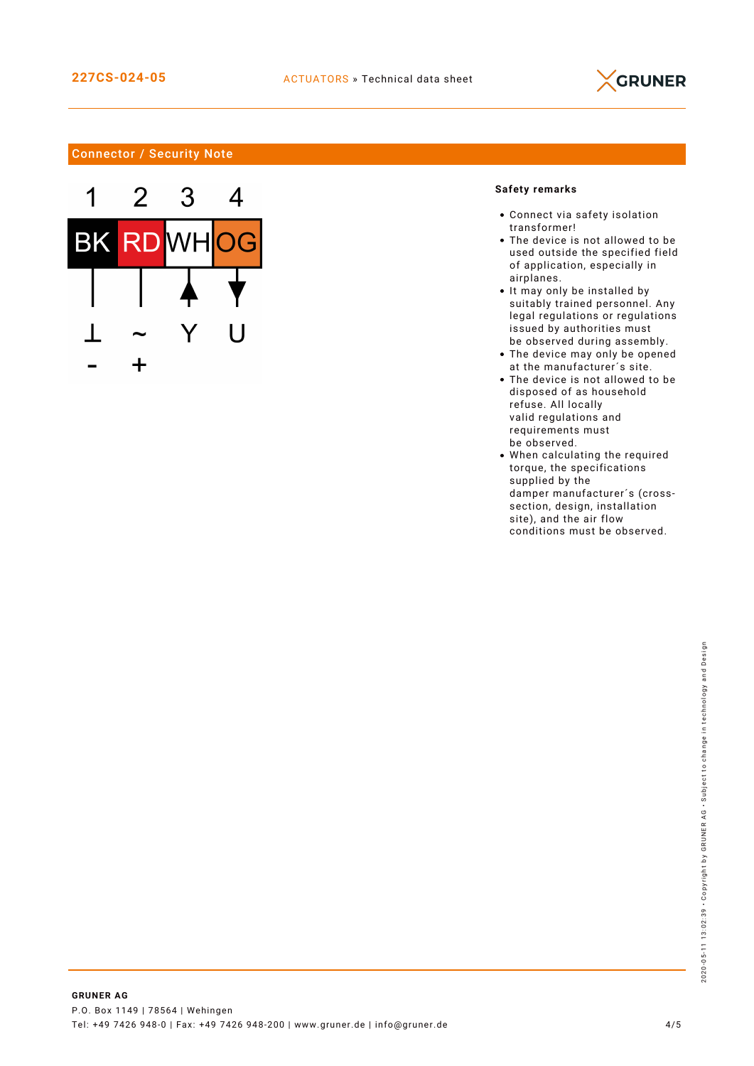

### Connector / Security Note



#### **Safety remarks**

- Connect via safety isolation transformer!
- The device is not allowed to be used outside the specified field of application, especially in airplanes.
- It may only be installed by suitably trained personnel. Any legal regulations or regulations issued by authorities must be observed during assembly.
- The device may only be opened at the manufacturer´s site.
- The device is not allowed to be disposed of as household refuse. All locally valid regulations and requirements must be observed.
- When calculating the required torque, the specifications supplied by the damper manufacturer´s (crosssection, design, installation site), and the air flow conditions must be observed.